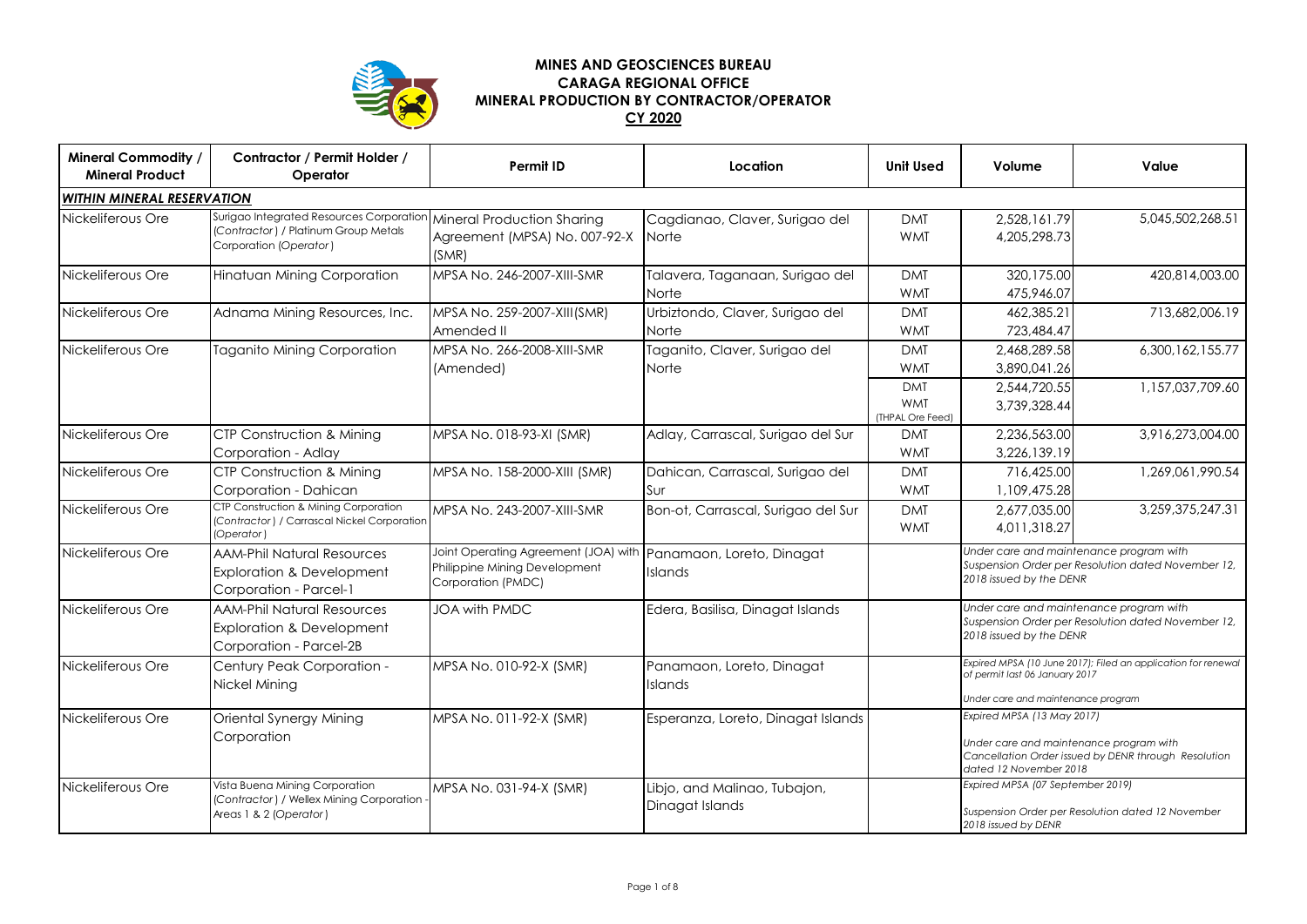

## **MINES AND GEOSCIENCES BUREAU CARAGA REGIONAL OFFICE MINERAL PRODUCTION BY CONTRACTOR/OPERATOR CY 2020**

| <b>Mineral Commodity /</b><br><b>Mineral Product</b> | Contractor / Permit Holder /<br>Operator                                                                                              | <b>Permit ID</b>                                                                                                      | Location                                        | <b>Unit Used</b>                                     | Volume                                                                                                                                                  | Value                                                                                 |  |
|------------------------------------------------------|---------------------------------------------------------------------------------------------------------------------------------------|-----------------------------------------------------------------------------------------------------------------------|-------------------------------------------------|------------------------------------------------------|---------------------------------------------------------------------------------------------------------------------------------------------------------|---------------------------------------------------------------------------------------|--|
| WITHIN MINERAL RESERVATION                           |                                                                                                                                       |                                                                                                                       |                                                 |                                                      |                                                                                                                                                         |                                                                                       |  |
| Nickeliferous Ore                                    | Surigao Integrated Resources Corporation Mineral Production Sharing<br>(Contractor) / Platinum Group Metals<br>Corporation (Operator) | Agreement (MPSA) No. 007-92-X<br>(SMR)                                                                                | Cagdianao, Claver, Surigao del<br>Norte         | <b>DMT</b><br><b>WMT</b>                             | 2,528,161.79<br>4,205,298.73                                                                                                                            | 5,045,502,268.51                                                                      |  |
| Nickeliferous Ore                                    | Hinatuan Mining Corporation                                                                                                           | MPSA No. 246-2007-XIII-SMR                                                                                            | Talavera, Taganaan, Surigao del<br>Norte        | <b>DMT</b><br><b>WMT</b>                             | 320,175.00<br>475,946.07                                                                                                                                | 420,814,003.00                                                                        |  |
| Nickeliferous Ore                                    | Adnama Mining Resources, Inc.                                                                                                         | MPSA No. 259-2007-XIII(SMR)<br>Amended II                                                                             | Urbiztondo, Claver, Surigao del<br>Norte        | <b>DMT</b><br><b>WMT</b>                             | 462,385.21<br>723,484.47                                                                                                                                | 713,682,006.19                                                                        |  |
| Nickeliferous Ore                                    | <b>Taganito Mining Corporation</b>                                                                                                    | MPSA No. 266-2008-XIII-SMR<br>(Amended)                                                                               | Taganito, Claver, Surigao del<br><b>Norte</b>   | <b>DMT</b><br><b>WMT</b><br><b>DMT</b><br><b>WMT</b> | 2,468,289.58<br>3,890,041.26<br>2,544,720.55<br>3,739,328.44                                                                                            | 6,300,162,155.77<br>1,157,037,709.60                                                  |  |
| Nickeliferous Ore                                    | <b>CTP Construction &amp; Mining</b><br>Corporation - Adlay                                                                           | MPSA No. 018-93-XI (SMR)                                                                                              | Adlay, Carrascal, Surigao del Sur               | (THPAL Ore Feed)<br><b>DMT</b><br><b>WMT</b>         | 2,236,563.00<br>3,226,139.19                                                                                                                            | 3,916,273,004.00                                                                      |  |
| Nickeliferous Ore                                    | CTP Construction & Mining<br>Corporation - Dahican                                                                                    | MPSA No. 158-2000-XIII (SMR)                                                                                          | Dahican, Carrascal, Surigao del<br>Sur          | <b>DMT</b><br><b>WMT</b>                             | 716,425.00<br>1,109,475.28                                                                                                                              | 1,269,061,990.54                                                                      |  |
| Nickeliferous Ore                                    | CTP Construction & Mining Corporation<br>(Contractor) / Carrascal Nickel Corporation<br>(Operator)                                    | MPSA No. 243-2007-XIII-SMR                                                                                            | Bon-ot, Carrascal, Surigao del Sur              | <b>DMT</b><br><b>WMT</b>                             | 2,677,035.00<br>4,011,318.27                                                                                                                            | 3,259,375,247.31                                                                      |  |
| Nickeliferous Ore                                    | <b>AAM-Phil Natural Resources</b><br><b>Exploration &amp; Development</b><br>Corporation - Parcel-1                                   | Joint Operating Agreement (JOA) with Panamaon, Loreto, Dinagat<br>Philippine Mining Development<br>Corporation (PMDC) | Islands                                         |                                                      | Under care and maintenance program with<br>Suspension Order per Resolution dated November 12,<br>2018 issued by the DENR                                |                                                                                       |  |
| Nickeliferous Ore                                    | <b>AAM-Phil Natural Resources</b><br><b>Exploration &amp; Development</b><br>Corporation - Parcel-2B                                  | <b>JOA with PMDC</b>                                                                                                  | Edera, Basilisa, Dinagat Islands                |                                                      | Under care and maintenance program with<br>Suspension Order per Resolution dated November 12,<br>2018 issued by the DENR                                |                                                                                       |  |
| Nickeliferous Ore                                    | Century Peak Corporation -<br>Nickel Mining                                                                                           | MPSA No. 010-92-X (SMR)                                                                                               | Panamaon, Loreto, Dinagat<br>Islands            |                                                      | Expired MPSA (10 June 2017); Filed an application for renewal<br>of permit last 06 January 2017<br>Under care and maintenance program                   |                                                                                       |  |
| Nickeliferous Ore                                    | Oriental Synergy Mining<br>Corporation                                                                                                | MPSA No. 011-92-X (SMR)                                                                                               | Esperanza, Loreto, Dinagat Islands              |                                                      | Expired MPSA (13 May 2017)<br>Under care and maintenance program with<br>Cancellation Order issued by DENR through Resolution<br>dated 12 November 2018 |                                                                                       |  |
| Nickeliferous Ore                                    | Vista Buena Mining Corporation<br>(Contractor) / Wellex Mining Corporation<br>Areas 1 & 2 (Operator)                                  | MPSA No. 031-94-X (SMR)                                                                                               | Libjo, and Malinao, Tubajon,<br>Dinagat Islands |                                                      | 2018 issued by DENR                                                                                                                                     | Expired MPSA (07 September 2019)<br>Suspension Order per Resolution dated 12 November |  |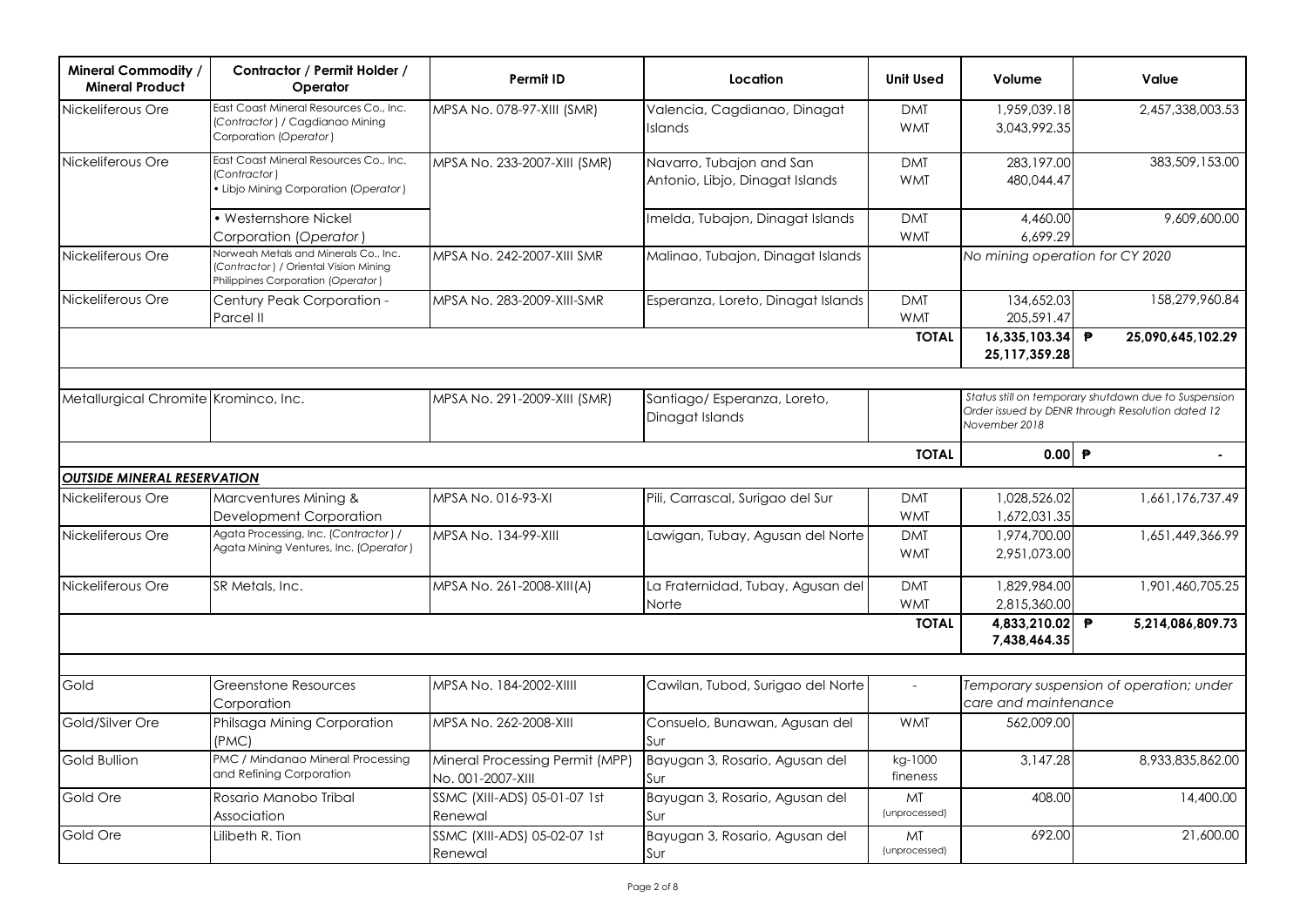| <b>Mineral Commodity /</b><br><b>Mineral Product</b> | Contractor / Permit Holder /<br>Operator                                                                             | Permit ID                                            | Location                                                    | <b>Unit Used</b>         | Volume                                                           | Value                                                                                                    |
|------------------------------------------------------|----------------------------------------------------------------------------------------------------------------------|------------------------------------------------------|-------------------------------------------------------------|--------------------------|------------------------------------------------------------------|----------------------------------------------------------------------------------------------------------|
| Nickeliferous Ore                                    | East Coast Mineral Resources Co., Inc.<br>(Contractor) / Cagdianao Mining<br>Corporation (Operator)                  | MPSA No. 078-97-XIII (SMR)                           | Valencia, Cagdianao, Dinagat<br><b>Islands</b>              | <b>DMT</b><br><b>WMT</b> | 1,959,039.18<br>3,043,992.35                                     | 2,457,338,003.53                                                                                         |
| Nickeliferous Ore                                    | East Coast Mineral Resources Co., Inc.<br>(Contractor)<br>• Libjo Mining Corporation (Operator)                      | MPSA No. 233-2007-XIII (SMR)                         | Navarro, Tubajon and San<br>Antonio, Libjo, Dinagat Islands | <b>DMT</b><br><b>WMT</b> | 283,197.00<br>480,044.47                                         | 383,509,153.00                                                                                           |
|                                                      | • Westernshore Nickel<br>Corporation (Operator )                                                                     |                                                      | Imelda, Tubajon, Dinagat Islands                            | <b>DMT</b><br><b>WMT</b> | 4,460.00<br>6,699.29                                             | 9,609,600.00                                                                                             |
| Nickeliferous Ore                                    | Norweah Metals and Minerals Co., Inc.<br>(Contractor) / Oriental Vision Mining<br>Philippines Corporation (Operator) | MPSA No. 242-2007-XIII SMR                           | Malinao, Tubajon, Dinagat Islands                           |                          | No mining operation for CY 2020                                  |                                                                                                          |
| Nickeliferous Ore                                    | Century Peak Corporation -<br>Parcel II                                                                              | MPSA No. 283-2009-XIII-SMR                           | Esperanza, Loreto, Dinagat Islands                          | <b>DMT</b><br><b>WMT</b> | 134,652.03<br>205,591.47                                         | 158.279.960.84                                                                                           |
|                                                      |                                                                                                                      |                                                      |                                                             | <b>TOTAL</b>             | 16,335,103.34<br>25, 117, 359. 28                                | 25,090,645,102.29<br>₱                                                                                   |
|                                                      |                                                                                                                      |                                                      |                                                             |                          |                                                                  |                                                                                                          |
| Metallurgical Chromite Krominco, Inc.                |                                                                                                                      | MPSA No. 291-2009-XIII (SMR)                         | Santiago/ Esperanza, Loreto,<br>Dinagat Islands             |                          | November 2018                                                    | Status still on temporary shutdown due to Suspension<br>Order issued by DENR through Resolution dated 12 |
|                                                      |                                                                                                                      |                                                      |                                                             | <b>TOTAL</b>             | $0.00$ $\rightarrow$                                             |                                                                                                          |
| <b>OUTSIDE MINERAL RESERVATION</b>                   |                                                                                                                      |                                                      |                                                             |                          |                                                                  |                                                                                                          |
| Nickeliferous Ore                                    | Marcventures Mining &<br>Development Corporation                                                                     | MPSA No. 016-93-XI                                   | Pili, Carrascal, Surigao del Sur                            | <b>DMT</b><br><b>WMT</b> | 1,028,526.02<br>1,672,031.35                                     | 1.661.176.737.49                                                                                         |
| Nickeliferous Ore                                    | Agata Processing, Inc. (Contractor) /<br>Agata Mining Ventures, Inc. (Operator)                                      | MPSA No. 134-99-XIII                                 | Lawigan, Tubay, Agusan del Norte                            | <b>DMT</b><br><b>WMT</b> | 1,974,700.00<br>2.951.073.00                                     | 1,651,449,366.99                                                                                         |
| Nickeliferous Ore                                    | SR Metals, Inc.                                                                                                      | MPSA No. 261-2008-XIII(A)                            | La Fraternidad, Tubay, Agusan del<br>Norte                  | <b>DMT</b><br><b>WMT</b> | 1.829.984.00<br>2,815,360.00                                     | 1,901,460,705.25                                                                                         |
|                                                      |                                                                                                                      |                                                      |                                                             | <b>TOTAL</b>             | 4,833,210.02 ₱<br>7,438,464.35                                   | 5,214,086,809.73                                                                                         |
|                                                      |                                                                                                                      |                                                      |                                                             |                          |                                                                  |                                                                                                          |
| Gold                                                 | Greenstone Resources<br>Corporation                                                                                  | MPSA No. 184-2002-XIIII                              | Cawilan, Tubod, Surigao del Norte                           |                          | Temporary suspension of operation; under<br>care and maintenance |                                                                                                          |
| Gold/Silver Ore                                      | Philsaga Mining Corporation<br>(PMC)                                                                                 | MPSA No. 262-2008-XIII                               | Consuelo, Bunawan, Agusan del<br>Sur                        | <b>WMT</b>               | 562,009.00                                                       |                                                                                                          |
| <b>Gold Bullion</b>                                  | PMC / Mindanao Mineral Processing<br>and Refining Corporation                                                        | Mineral Processing Permit (MPP)<br>No. 001-2007-XIII | Bayugan 3, Rosario, Agusan del<br>Sur                       | kg-1000<br>fineness      | 3.147.28                                                         | 8,933,835,862,00                                                                                         |
| Gold Ore                                             | Rosario Manobo Tribal<br>Association                                                                                 | SSMC (XIII-ADS) 05-01-07 1st<br>Renewal              | Bayugan 3, Rosario, Agusan del<br>Sur                       | MT<br>(unprocessed)      | 408.00                                                           | 14,400.00                                                                                                |
| Gold Ore                                             | Lilibeth R. Tion                                                                                                     | SSMC (XIII-ADS) 05-02-07 1st<br>Renewal              | Bayugan 3, Rosario, Agusan del<br>Sur                       | MT<br>(unprocessed)      | 692.00                                                           | 21,600.00                                                                                                |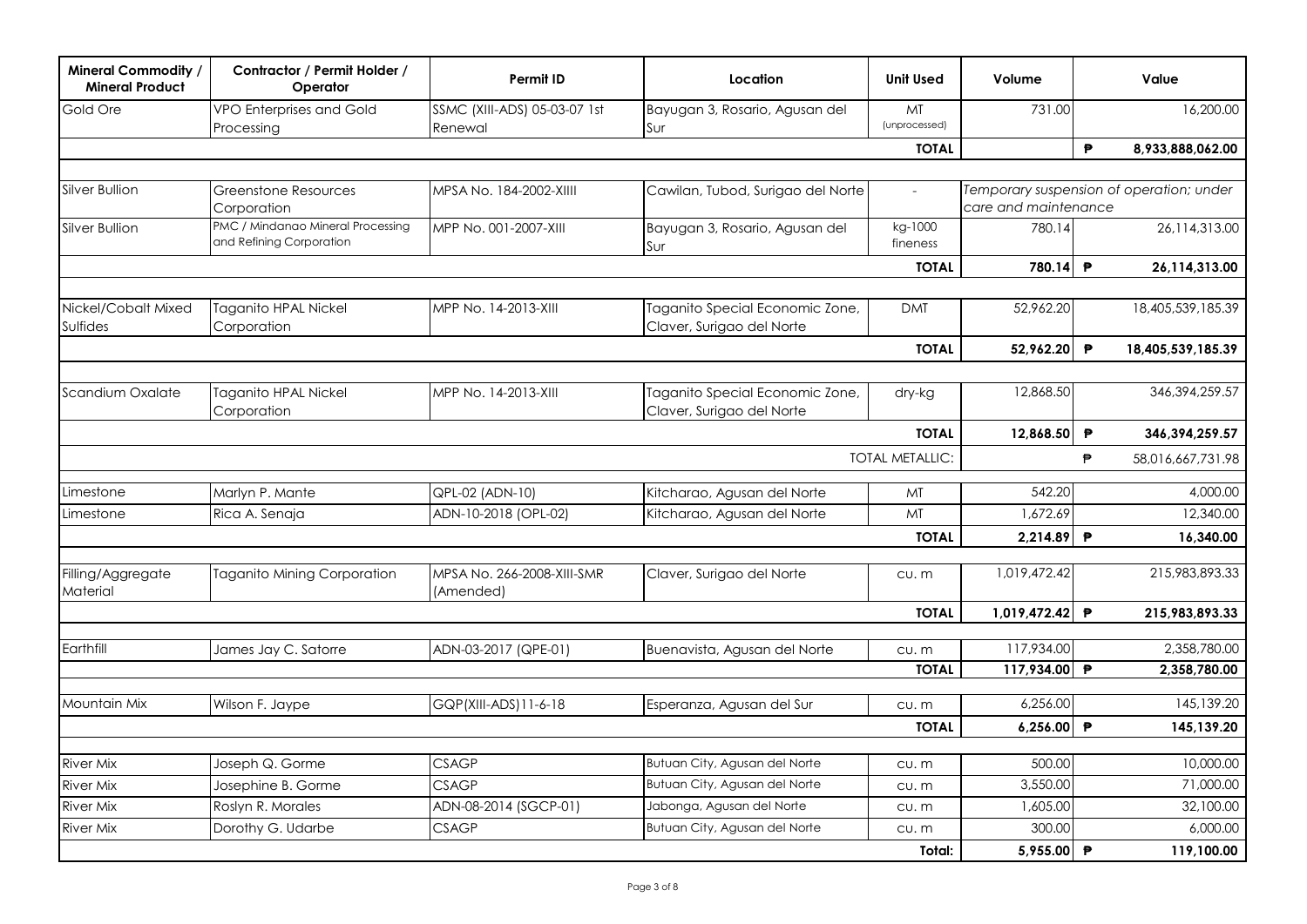| <b>Mineral Commodity /</b><br><b>Mineral Product</b> | Contractor / Permit Holder /<br>Operator                      | Permit ID                               | Location                                                     | <b>Unit Used</b>       | Volume               | Value                                    |
|------------------------------------------------------|---------------------------------------------------------------|-----------------------------------------|--------------------------------------------------------------|------------------------|----------------------|------------------------------------------|
| Gold Ore                                             | VPO Enterprises and Gold<br>Processing                        | SSMC (XIII-ADS) 05-03-07 1st<br>Renewal | Bayugan 3, Rosario, Agusan del<br>Sur                        | MT<br>(unprocessed)    | 731.00               | 16,200.00                                |
|                                                      |                                                               |                                         |                                                              | <b>TOTAL</b>           |                      | $\mathbf{P}$<br>8,933,888,062.00         |
|                                                      |                                                               |                                         |                                                              |                        |                      |                                          |
| Silver Bullion                                       | Greenstone Resources<br>Corporation                           | MPSA No. 184-2002-XIIII                 | Cawilan, Tubod, Surigao del Norte                            | $\sim$                 | care and maintenance | Temporary suspension of operation; under |
| Silver Bullion                                       | PMC / Mindanao Mineral Processing<br>and Refining Corporation | MPP No. 001-2007-XIII                   | Bayugan 3, Rosario, Agusan del<br>Sur                        | kg-1000<br>fineness    | 780.14               | 26,114,313.00                            |
|                                                      |                                                               |                                         |                                                              | <b>TOTAL</b>           | 780.14 ₱             | 26,114,313.00                            |
|                                                      |                                                               |                                         |                                                              |                        |                      |                                          |
| Nickel/Cobalt Mixed<br><b>Sulfides</b>               | Taganito HPAL Nickel<br>Corporation                           | MPP No. 14-2013-XIII                    | Taganito Special Economic Zone,<br>Claver, Surigao del Norte | <b>DMT</b>             | 52,962.20            | 18,405,539,185.39                        |
|                                                      |                                                               |                                         |                                                              | <b>TOTAL</b>           | 52,962.20 ₱          | 18,405,539,185.39                        |
|                                                      |                                                               |                                         |                                                              |                        |                      |                                          |
| Scandium Oxalate                                     | Taganito HPAL Nickel<br>Corporation                           | MPP No. 14-2013-XIII                    | Taganito Special Economic Zone,<br>Claver, Surigao del Norte | dry-kg                 | 12,868.50            | 346, 394, 259. 57                        |
|                                                      |                                                               |                                         |                                                              | <b>TOTAL</b>           | 12,868.50            | ₱<br>346,394,259.57                      |
|                                                      |                                                               |                                         |                                                              | <b>TOTAL METALLIC:</b> |                      | ₱<br>58,016,667,731.98                   |
| Limestone                                            | Marlyn P. Mante                                               | QPL-02 (ADN-10)                         | Kitcharao, Agusan del Norte                                  | MT                     | 542.20               | 4,000.00                                 |
| Limestone                                            | Rica A. Senaja                                                | ADN-10-2018 (OPL-02)                    | Kitcharao, Agusan del Norte                                  | MT                     | 1,672.69             | 12,340.00                                |
|                                                      |                                                               |                                         |                                                              | <b>TOTAL</b>           | 2,214.89 P           | 16,340.00                                |
| Filling/Aggregate<br>Material                        | <b>Taganito Mining Corporation</b>                            | MPSA No. 266-2008-XIII-SMR<br>(Amended) | Claver, Surigao del Norte                                    | cu.m                   | 1,019,472.42         | 215,983,893.33                           |
|                                                      |                                                               |                                         |                                                              | <b>TOTAL</b>           | 1.019.472.42 ₱       | 215.983.893.33                           |
|                                                      |                                                               |                                         |                                                              |                        |                      |                                          |
| Earthfill                                            | James Jay C. Satorre                                          | ADN-03-2017 (QPE-01)                    | Buenavista, Agusan del Norte                                 | CU. m                  | 117,934.00           | 2,358,780.00                             |
|                                                      |                                                               |                                         |                                                              | <b>TOTAL</b>           | 117,934.00 ₱         | 2,358,780.00                             |
| Mountain Mix                                         | Wilson F. Jaype                                               | GQP(XIII-ADS)11-6-18                    | Esperanza, Agusan del Sur                                    | CU. m                  | 6,256.00             | 145,139.20                               |
|                                                      |                                                               |                                         |                                                              | <b>TOTAL</b>           | 6,256.00             | $\mathsf{P}$<br>145,139.20               |
|                                                      |                                                               |                                         |                                                              |                        |                      |                                          |
| <b>River Mix</b>                                     | Joseph Q. Gorme                                               | <b>CSAGP</b>                            | Butuan City, Agusan del Norte                                | cu.m                   | 500.00               | 10,000.00                                |
| <b>River Mix</b>                                     | Josephine B. Gorme                                            | <b>CSAGP</b>                            | Butuan City, Agusan del Norte                                | cu.m                   | 3,550,00             | 71,000.00                                |
| <b>River Mix</b>                                     | Roslyn R. Morales                                             | ADN-08-2014 (SGCP-01)                   | Jabonga, Agusan del Norte                                    | cu.m                   | 1,605.00             | 32,100.00                                |
| <b>River Mix</b>                                     | Dorothy G. Udarbe                                             | <b>CSAGP</b>                            | Butuan City, Agusan del Norte                                | cu.m                   | 300.00               | 6,000.00                                 |
|                                                      |                                                               |                                         |                                                              | Total:                 | 5,955.00 ₱           | 119,100.00                               |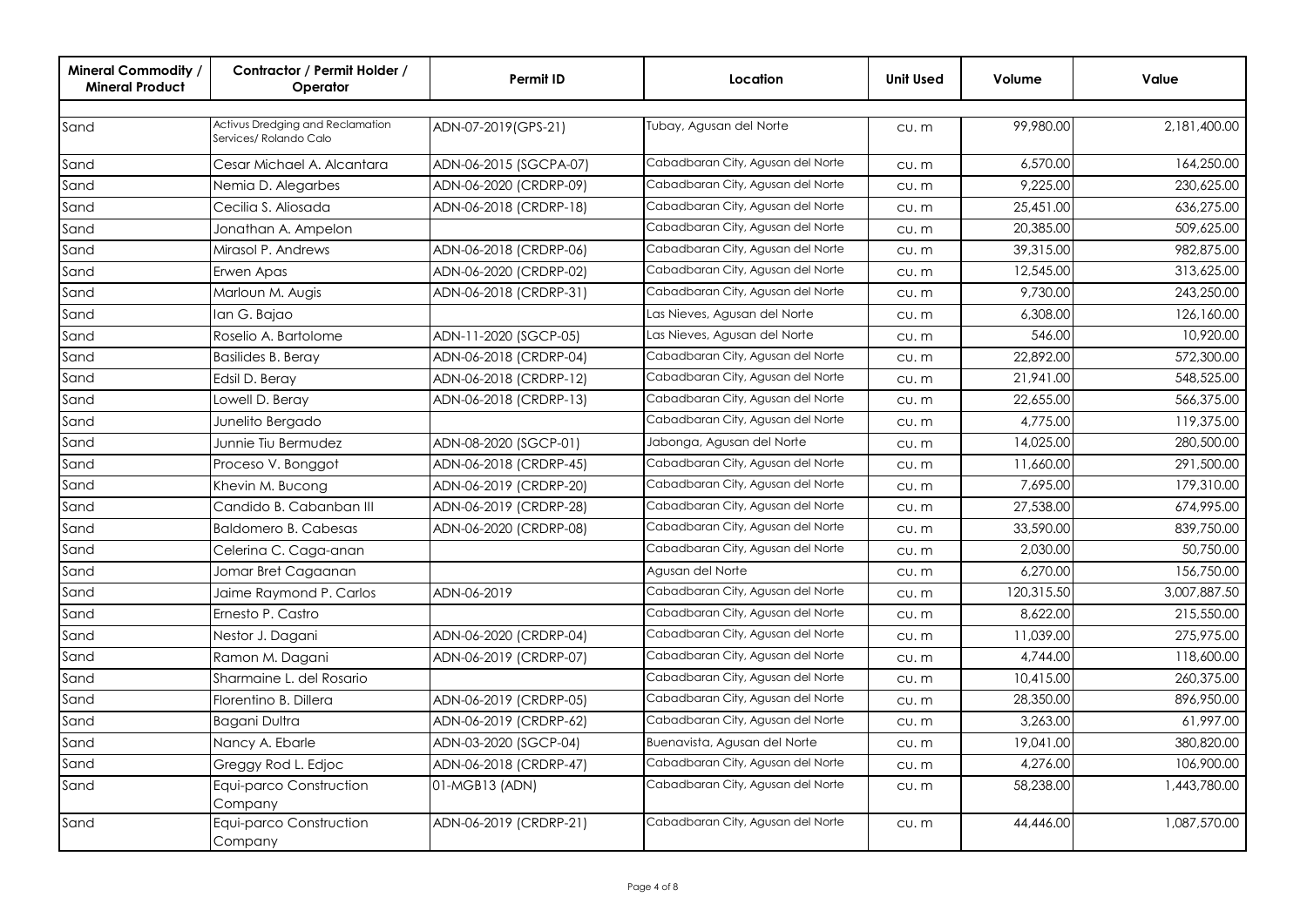| <b>Mineral Commodity /</b><br><b>Mineral Product</b> | Contractor / Permit Holder /<br>Operator                   | <b>Permit ID</b>       | Location                          | <b>Unit Used</b> | Volume     | Value        |
|------------------------------------------------------|------------------------------------------------------------|------------------------|-----------------------------------|------------------|------------|--------------|
|                                                      |                                                            |                        |                                   |                  |            |              |
| Sand                                                 | Activus Dredging and Reclamation<br>Services/ Rolando Calo | ADN-07-2019(GPS-21)    | Tubay, Agusan del Norte           | CU. m            | 99,980,00  | 2,181,400.00 |
| Sand                                                 | Cesar Michael A. Alcantara                                 | ADN-06-2015 (SGCPA-07) | Cabadbaran City, Agusan del Norte | cu.m             | 6,570.00   | 164,250.00   |
| Sand                                                 | Nemia D. Alegarbes                                         | ADN-06-2020 (CRDRP-09) | Cabadbaran City, Agusan del Norte | CU. m            | 9,225.00   | 230,625.00   |
| Sand                                                 | Cecilia S. Aliosada                                        | ADN-06-2018 (CRDRP-18) | Cabadbaran City, Agusan del Norte | CU. m            | 25,451.00  | 636,275.00   |
| Sand                                                 | Jonathan A. Ampelon                                        |                        | Cabadbaran City, Agusan del Norte | CU. m            | 20,385.00  | 509,625.00   |
| Sand                                                 | Mirasol P. Andrews                                         | ADN-06-2018 (CRDRP-06) | Cabadbaran City, Agusan del Norte | CU. m            | 39,315,00  | 982.875.00   |
| Sand                                                 | Erwen Apas                                                 | ADN-06-2020 (CRDRP-02) | Cabadbaran City, Agusan del Norte | CU. m            | 12,545.00  | 313,625.00   |
| Sand                                                 | Marloun M. Augis                                           | ADN-06-2018 (CRDRP-31) | Cabadbaran City, Agusan del Norte | CU. m            | 9,730.00   | 243,250.00   |
| Sand                                                 | lan G. Bajao                                               |                        | Las Nieves, Agusan del Norte      | CU. m            | 6,308.00   | 126,160.00   |
| Sand                                                 | Roselio A. Bartolome                                       | ADN-11-2020 (SGCP-05)  | Las Nieves, Agusan del Norte      | $CU.$ $m$        | 546.00     | 10,920.00    |
| Sand                                                 | <b>Basilides B. Beray</b>                                  | ADN-06-2018 (CRDRP-04) | Cabadbaran City, Agusan del Norte | CU. m            | 22,892.00  | 572,300.00   |
| Sand                                                 | Edsil D. Beray                                             | ADN-06-2018 (CRDRP-12) | Cabadbaran City, Agusan del Norte | CU. m            | 21,941.00  | 548,525.00   |
| Sand                                                 | Lowell D. Berav                                            | ADN-06-2018 (CRDRP-13) | Cabadbaran City, Agusan del Norte | CU. m            | 22,655.00  | 566,375.00   |
| Sand                                                 | Junelito Bergado                                           |                        | Cabadbaran City, Agusan del Norte | $CU.$ $m$        | 4,775.00   | 119,375.00   |
| Sand                                                 | Junnie Tiu Bermudez                                        | ADN-08-2020 (SGCP-01)  | Jabonga, Agusan del Norte         | $CU.$ $m$        | 14,025.00  | 280,500.00   |
| Sand                                                 | Proceso V. Bonggot                                         | ADN-06-2018 (CRDRP-45) | Cabadbaran City, Agusan del Norte | $CU.$ $m$        | 11,660.00  | 291,500.00   |
| Sand                                                 | Khevin M. Bucong                                           | ADN-06-2019 (CRDRP-20) | Cabadbaran City, Agusan del Norte | $CU.$ $m$        | 7.695.00   | 179,310.00   |
| Sand                                                 | Candido B. Cabanban III                                    | ADN-06-2019 (CRDRP-28) | Cabadbaran City, Agusan del Norte | $CU.$ $m$        | 27,538.00  | 674,995.00   |
| Sand                                                 | <b>Baldomero B. Cabesas</b>                                | ADN-06-2020 (CRDRP-08) | Cabadbaran City, Agusan del Norte | $CU.$ $m$        | 33,590.00  | 839,750.00   |
| Sand                                                 | Celerina C. Caga-anan                                      |                        | Cabadbaran City, Agusan del Norte | $CU.$ $m$        | 2,030,00   | 50,750,00    |
| Sand                                                 | Jomar Bret Cagaanan                                        |                        | Agusan del Norte                  | $CU.$ $m$        | 6,270.00   | 156,750.00   |
| Sand                                                 | Jaime Raymond P. Carlos                                    | ADN-06-2019            | Cabadbaran City, Agusan del Norte | $CU.$ $m$        | 120,315.50 | 3,007,887.50 |
| Sand                                                 | Ernesto P. Castro                                          |                        | Cabadbaran City, Agusan del Norte | $CU.$ $m$        | 8,622.00   | 215,550.00   |
| Sand                                                 | Nestor J. Dagani                                           | ADN-06-2020 (CRDRP-04) | Cabadbaran City, Agusan del Norte | $CU.$ $m$        | 11,039.00  | 275,975.00   |
| Sand                                                 | Ramon M. Dagani                                            | ADN-06-2019 (CRDRP-07) | Cabadbaran City, Agusan del Norte | $CU.$ $m$        | 4,744.00   | 118,600.00   |
| Sand                                                 | Sharmaine L. del Rosario                                   |                        | Cabadbaran City, Agusan del Norte | $CU.$ $m$        | 10,415.00  | 260,375.00   |
| Sand                                                 | Florentino B. Dillera                                      | ADN-06-2019 (CRDRP-05) | Cabadbaran City, Agusan del Norte | $CU.$ $m$        | 28,350.00  | 896,950.00   |
| Sand                                                 | Bagani Dultra                                              | ADN-06-2019 (CRDRP-62) | Cabadbaran City, Agusan del Norte | $CU.$ $m$        | 3,263.00   | 61,997.00    |
| Sand                                                 | Nancy A. Ebarle                                            | ADN-03-2020 (SGCP-04)  | Buenavista, Agusan del Norte      | $CU.$ $m$        | 19,041.00  | 380,820.00   |
| Sand                                                 | Greggy Rod L. Edjoc                                        | ADN-06-2018 (CRDRP-47) | Cabadbaran City, Agusan del Norte | $CU.$ $m$        | 4,276.00   | 106,900.00   |
| Sand                                                 | Equi-parco Construction<br>Company                         | 01-MGB13 (ADN)         | Cabadbaran City, Agusan del Norte | CU. m            | 58,238.00  | 1,443,780.00 |
| Sand                                                 | Equi-parco Construction<br>Company                         | ADN-06-2019 (CRDRP-21) | Cabadbaran City, Agusan del Norte | cu.m             | 44,446.00  | 1,087,570.00 |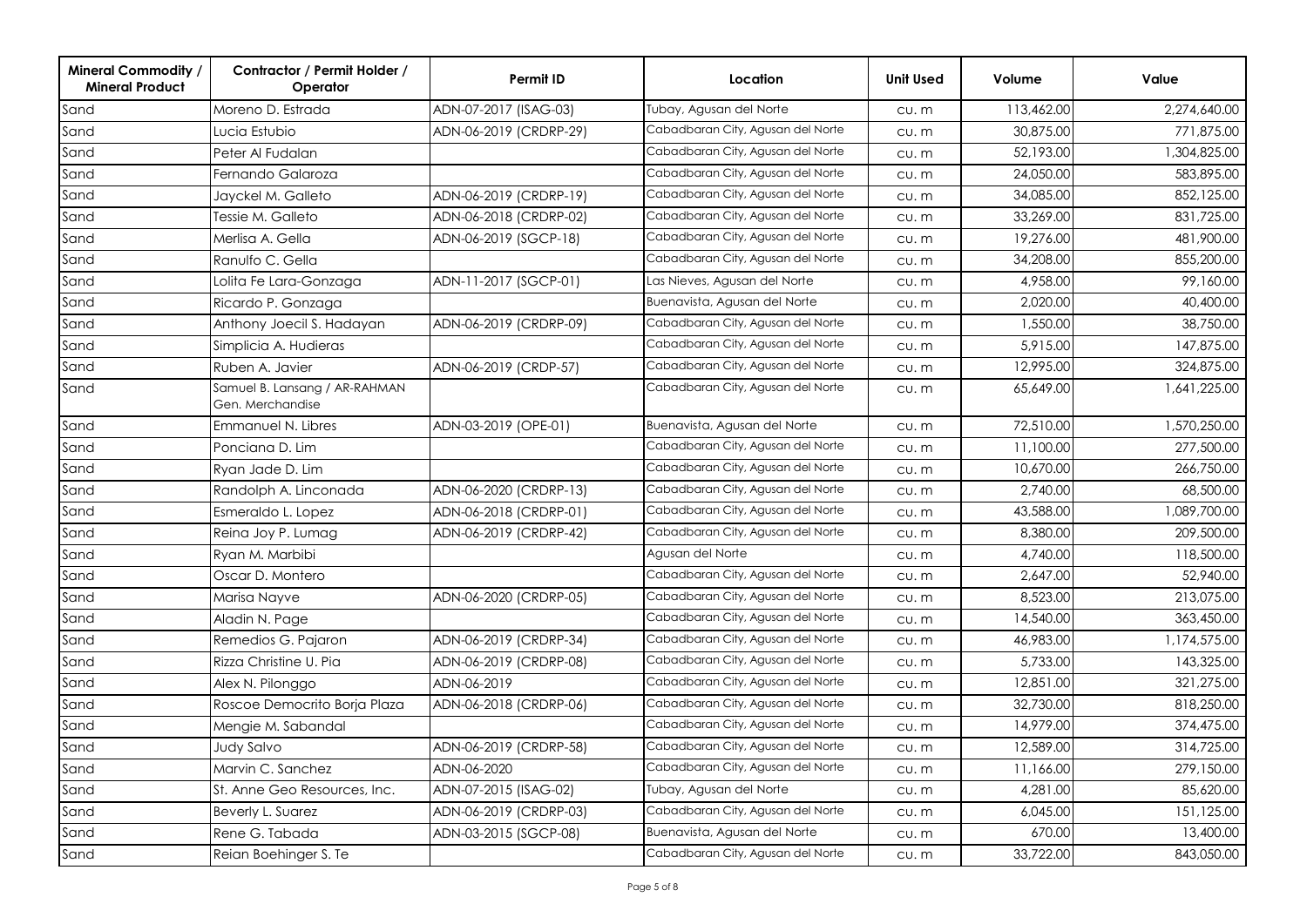| <b>Mineral Commodity /</b><br><b>Mineral Product</b> | Contractor / Permit Holder /<br>Operator          | Permit ID              | Location                          | <b>Unit Used</b> | Volume     | Value        |
|------------------------------------------------------|---------------------------------------------------|------------------------|-----------------------------------|------------------|------------|--------------|
| Sand                                                 | Moreno D. Estrada                                 | ADN-07-2017 (ISAG-03)  | Tubay, Agusan del Norte           | $CU.$ $m$        | 113,462.00 | 2,274,640.00 |
| Sand                                                 | Lucia Estubio                                     | ADN-06-2019 (CRDRP-29) | Cabadbaran City, Agusan del Norte | $CU.$ $m$        | 30,875.00  | 771,875.00   |
| Sand                                                 | Peter Al Fudalan                                  |                        | Cabadbaran City, Agusan del Norte | CU. m            | 52,193.00  | 1,304,825.00 |
| Sand                                                 | Fernando Galaroza                                 |                        | Cabadbaran City, Agusan del Norte | CU. m            | 24,050.00  | 583,895.00   |
| Sand                                                 | Jayckel M. Galleto                                | ADN-06-2019 (CRDRP-19) | Cabadbaran City, Agusan del Norte | CU. m            | 34,085.00  | 852,125.00   |
| Sand                                                 | Tessie M. Galleto                                 | ADN-06-2018 (CRDRP-02) | Cabadbaran City, Agusan del Norte | $CU.$ $m$        | 33,269.00  | 831,725.00   |
| Sand                                                 | Merlisa A. Gella                                  | ADN-06-2019 (SGCP-18)  | Cabadbaran City, Agusan del Norte | CU. m            | 19,276.00  | 481,900.00   |
| Sand                                                 | Ranulfo C. Gella                                  |                        | Cabadbaran City, Agusan del Norte | cu.m             | 34,208.00  | 855,200.00   |
| Sand                                                 | Lolita Fe Lara-Gonzaga                            | ADN-11-2017 (SGCP-01)  | Las Nieves, Agusan del Norte      | CU. m            | 4,958.00   | 99,160.00    |
| Sand                                                 | Ricardo P. Gonzaga                                |                        | Buenavista, Agusan del Norte      | $CU.$ m          | 2,020.00   | 40,400.00    |
| Sand                                                 | Anthony Joecil S. Hadayan                         | ADN-06-2019 (CRDRP-09) | Cabadbaran City, Agusan del Norte | $CU.$ $m$        | 1,550.00   | 38,750.00    |
| Sand                                                 | Simplicia A. Hudieras                             |                        | Cabadbaran City, Agusan del Norte | $CU.$ $m$        | 5,915.00   | 147,875.00   |
| Sand                                                 | Ruben A. Javier                                   | ADN-06-2019 (CRDP-57)  | Cabadbaran City, Agusan del Norte | CU. m            | 12,995.00  | 324,875.00   |
| Sand                                                 | Samuel B. Lansang / AR-RAHMAN<br>Gen. Merchandise |                        | Cabadbaran City, Agusan del Norte | CU. M            | 65,649.00  | 1,641,225.00 |
| Sand                                                 | Emmanuel N. Libres                                | ADN-03-2019 (OPE-01)   | Buenavista, Agusan del Norte      | $CU.$ $m$        | 72,510.00  | 1,570,250.00 |
| Sand                                                 | Ponciana D. Lim                                   |                        | Cabadbaran City, Agusan del Norte | $CU.$ $m$        | 11,100.00  | 277,500.00   |
| Sand                                                 | Ryan Jade D. Lim                                  |                        | Cabadbaran City, Agusan del Norte | $CU.$ $m$        | 10,670.00  | 266,750.00   |
| Sand                                                 | Randolph A. Linconada                             | ADN-06-2020 (CRDRP-13) | Cabadbaran City, Agusan del Norte | $CU.$ $m$        | 2,740.00   | 68,500.00    |
| Sand                                                 | Esmeraldo L. Lopez                                | ADN-06-2018 (CRDRP-01) | Cabadbaran City, Agusan del Norte | cu.m             | 43,588.00  | 1,089,700.00 |
| Sand                                                 | Reina Joy P. Lumag                                | ADN-06-2019 (CRDRP-42) | Cabadbaran City, Agusan del Norte | CU. m            | 8,380.00   | 209,500.00   |
| Sand                                                 | Ryan M. Marbibi                                   |                        | Agusan del Norte                  | $CU.$ $m$        | 4,740.00   | 118,500.00   |
| Sand                                                 | Oscar D. Montero                                  |                        | Cabadbaran City, Agusan del Norte | $CU.$ $m$        | 2,647.00   | 52,940.00    |
| Sand                                                 | Marisa Nayve                                      | ADN-06-2020 (CRDRP-05) | Cabadbaran City, Agusan del Norte | CU. m            | 8,523.00   | 213,075.00   |
| Sand                                                 | Aladin N. Page                                    |                        | Cabadbaran City, Agusan del Norte | $CU.$ $m$        | 14,540.00  | 363,450.00   |
| Sand                                                 | Remedios G. Pajaron                               | ADN-06-2019 (CRDRP-34) | Cabadbaran City, Agusan del Norte | $CU.$ $m$        | 46,983.00  | 1,174,575.00 |
| Sand                                                 | Rizza Christine U. Pia                            | ADN-06-2019 (CRDRP-08) | Cabadbaran City, Agusan del Norte | CU. m            | 5,733.00   | 143,325.00   |
| Sand                                                 | Alex N. Pilonggo                                  | ADN-06-2019            | Cabadbaran City, Agusan del Norte | $CU.$ $m$        | 12,851.00  | 321,275.00   |
| Sand                                                 | Roscoe Democrito Borja Plaza                      | ADN-06-2018 (CRDRP-06) | Cabadbaran City, Agusan del Norte | $CU.$ $m$        | 32,730.00  | 818,250.00   |
| Sand                                                 | Mengie M. Sabandal                                |                        | Cabadbaran City, Agusan del Norte | CU. m            | 14,979.00  | 374,475.00   |
| Sand                                                 | Judy Salvo                                        | ADN-06-2019 (CRDRP-58) | Cabadbaran City, Agusan del Norte | cu.m             | 12,589.00  | 314,725.00   |
| Sand                                                 | Marvin C. Sanchez                                 | ADN-06-2020            | Cabadbaran City, Agusan del Norte | CU. m            | 11,166.00  | 279,150.00   |
| Sand                                                 | St. Anne Geo Resources, Inc.                      | ADN-07-2015 (ISAG-02)  | Tubay, Agusan del Norte           | CU. M            | 4,281.00   | 85,620.00    |
| Sand                                                 | Beverly L. Suarez                                 | ADN-06-2019 (CRDRP-03) | Cabadbaran City, Agusan del Norte | CU. m            | 6,045.00   | 151,125.00   |
| Sand                                                 | Rene G. Tabada                                    | ADN-03-2015 (SGCP-08)  | Buenavista, Agusan del Norte      | CU. M            | 670.00     | 13,400.00    |
| Sand                                                 | Reian Boehinger S. Te                             |                        | Cabadbaran City, Agusan del Norte | CU. M            | 33,722.00  | 843,050.00   |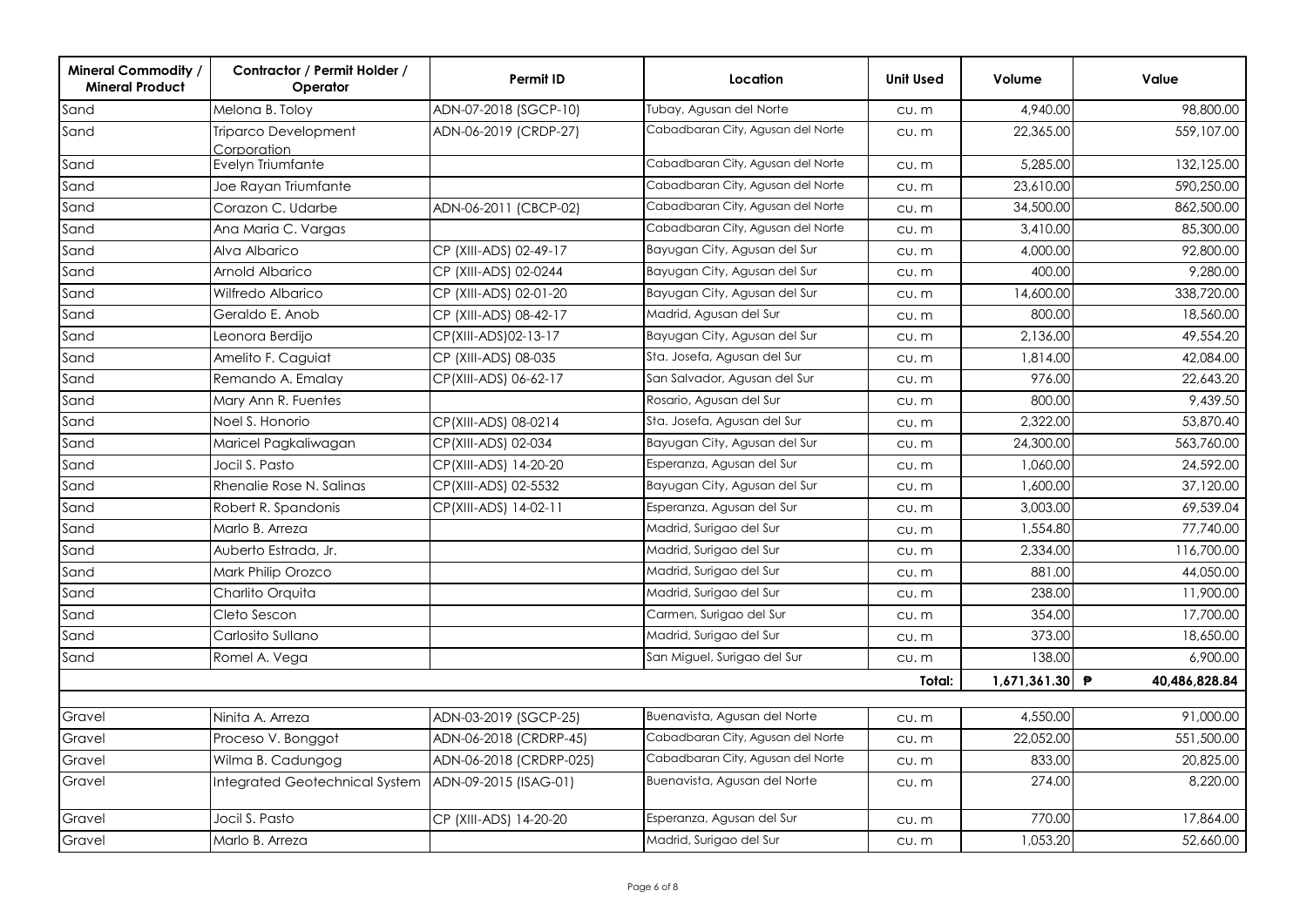| <b>Mineral Commodity /</b><br><b>Mineral Product</b> | Contractor / Permit Holder /<br>Operator   | <b>Permit ID</b>        | Location                          | <b>Unit Used</b> | Volume       | Value              |
|------------------------------------------------------|--------------------------------------------|-------------------------|-----------------------------------|------------------|--------------|--------------------|
| Sand                                                 | Melona B. Toloy                            | ADN-07-2018 (SGCP-10)   | Tubay, Agusan del Norte           | CU. m            | 4,940.00     | 98,800.00          |
| Sand                                                 | <b>Triparco Development</b><br>Corporation | ADN-06-2019 (CRDP-27)   | Cabadbaran City, Agusan del Norte | CU. m            | 22,365.00    | 559,107.00         |
| Sand                                                 | Evelyn Triumfante                          |                         | Cabadbaran City, Agusan del Norte | $CU.$ $m$        | 5,285.00     | 132,125.00         |
| Sand                                                 | Joe Rayan Triumfante                       |                         | Cabadbaran City, Agusan del Norte | $CU.$ $m$        | 23,610.00    | 590,250.00         |
| Sand                                                 | Corazon C. Udarbe                          | ADN-06-2011 (CBCP-02)   | Cabadbaran City, Agusan del Norte | CU. m            | 34,500.00    | 862,500.00         |
| Sand                                                 | Ana Maria C. Vargas                        |                         | Cabadbaran City, Agusan del Norte | $CU.$ $m$        | 3,410.00     | 85,300.00          |
| Sand                                                 | Alva Albarico                              | CP (XIII-ADS) 02-49-17  | Bayugan City, Agusan del Sur      | CU. m            | 4,000.00     | 92,800.00          |
| Sand                                                 | Arnold Albarico                            | CP (XIII-ADS) 02-0244   | Bayugan City, Agusan del Sur      | $CU.$ $m$        | 400.00       | 9,280.00           |
| Sand                                                 | Wilfredo Albarico                          | CP (XIII-ADS) 02-01-20  | Bayugan City, Agusan del Sur      | $CU.$ $m$        | 14,600.00    | 338,720.00         |
| Sand                                                 | Geraldo E. Anob                            | CP (XIII-ADS) 08-42-17  | Madrid, Agusan del Sur            | CU. m            | 800.00       | 18,560.00          |
| Sand                                                 | Leonora Berdijo                            | CP(XIII-ADS)02-13-17    | Bayugan City, Agusan del Sur      | $CU.$ $m$        | 2,136.00     | 49,554.20          |
| Sand                                                 | Amelito F. Caguiat                         | CP (XIII-ADS) 08-035    | Sta. Josefa, Agusan del Sur       | CU. m            | 1,814.00     | 42.084.00          |
| Sand                                                 | Remando A. Emalay                          | CP(XIII-ADS) 06-62-17   | San Salvador, Agusan del Sur      | $CU.$ $m$        | 976.00       | 22,643.20          |
| Sand                                                 | Mary Ann R. Fuentes                        |                         | Rosario, Agusan del Sur           | $CU.$ $m$        | 800.00       | 9,439.50           |
| Sand                                                 | Noel S. Honorio                            | CP(XIII-ADS) 08-0214    | Sta. Josefa, Agusan del Sur       | $CU.$ $m$        | 2,322.00     | 53,870.40          |
| Sand                                                 | Maricel Pagkaliwagan                       | CP(XIII-ADS) 02-034     | Bayugan City, Agusan del Sur      | CU. m            | 24,300.00    | 563,760.00         |
| Sand                                                 | Jocil S. Pasto                             | CP(XIII-ADS) 14-20-20   | Esperanza, Agusan del Sur         | CU. m            | 1,060.00     | 24,592.00          |
| Sand                                                 | Rhenalie Rose N. Salinas                   | CP(XIII-ADS) 02-5532    | Bayugan City, Agusan del Sur      | CU. m            | 1,600.00     | 37,120.00          |
| Sand                                                 | Robert R. Spandonis                        | CP(XIII-ADS) 14-02-11   | Esperanza, Agusan del Sur         | $CU.$ $m$        | 3,003.00     | 69,539.04          |
| Sand                                                 | Marlo B. Arreza                            |                         | Madrid, Surigao del Sur           | CU. m            | 1,554.80     | 77,740.00          |
| Sand                                                 | Auberto Estrada, Jr.                       |                         | Madrid, Surigao del Sur           | $CU.$ $m$        | 2,334.00     | 116,700.00         |
| Sand                                                 | Mark Philip Orozco                         |                         | Madrid, Surigao del Sur           | $CU.$ $m$        | 881.00       | 44,050.00          |
| Sand                                                 | Charlito Orquita                           |                         | Madrid, Surigao del Sur           | CU. m            | 238.00       | 11,900.00          |
| Sand                                                 | Cleto Sescon                               |                         | Carmen, Surigao del Sur           | $CU.$ $m$        | 354.00       | 17,700.00          |
| Sand                                                 | Carlosito Sullano                          |                         | Madrid, Surigao del Sur           | CU. m            | 373.00       | 18,650.00          |
| Sand                                                 | Romel A. Vega                              |                         | San Miguel, Surigao del Sur       | CU. m            | 138.00       | 6,900.00           |
|                                                      |                                            |                         |                                   | Total:           | 1,671,361.30 | ₱<br>40,486,828.84 |
| Gravel                                               | Ninita A. Arreza                           | ADN-03-2019 (SGCP-25)   | Buenavista, Agusan del Norte      | CU. m            | 4,550.00     | 91,000.00          |
| Gravel                                               | Proceso V. Bonggot                         | ADN-06-2018 (CRDRP-45)  | Cabadbaran City, Agusan del Norte | CU. m            | 22,052.00    | 551,500.00         |
| Gravel                                               | Wilma B. Cadungog                          | ADN-06-2018 (CRDRP-025) | Cabadbaran City, Agusan del Norte | CU. m            | 833.00       | 20,825.00          |
| Gravel                                               | <b>Integrated Geotechnical System</b>      | ADN-09-2015 (ISAG-01)   | Buenavista, Agusan del Norte      | CU. m            | 274.00       | 8,220.00           |
| Gravel                                               | Jocil S. Pasto                             | CP (XIII-ADS) 14-20-20  | Esperanza, Agusan del Sur         | $CU.$ $m$        | 770.00       | 17,864.00          |
| Gravel                                               | Marlo B. Arreza                            |                         | Madrid, Surigao del Sur           | CU. m            | 1,053.20     | 52,660.00          |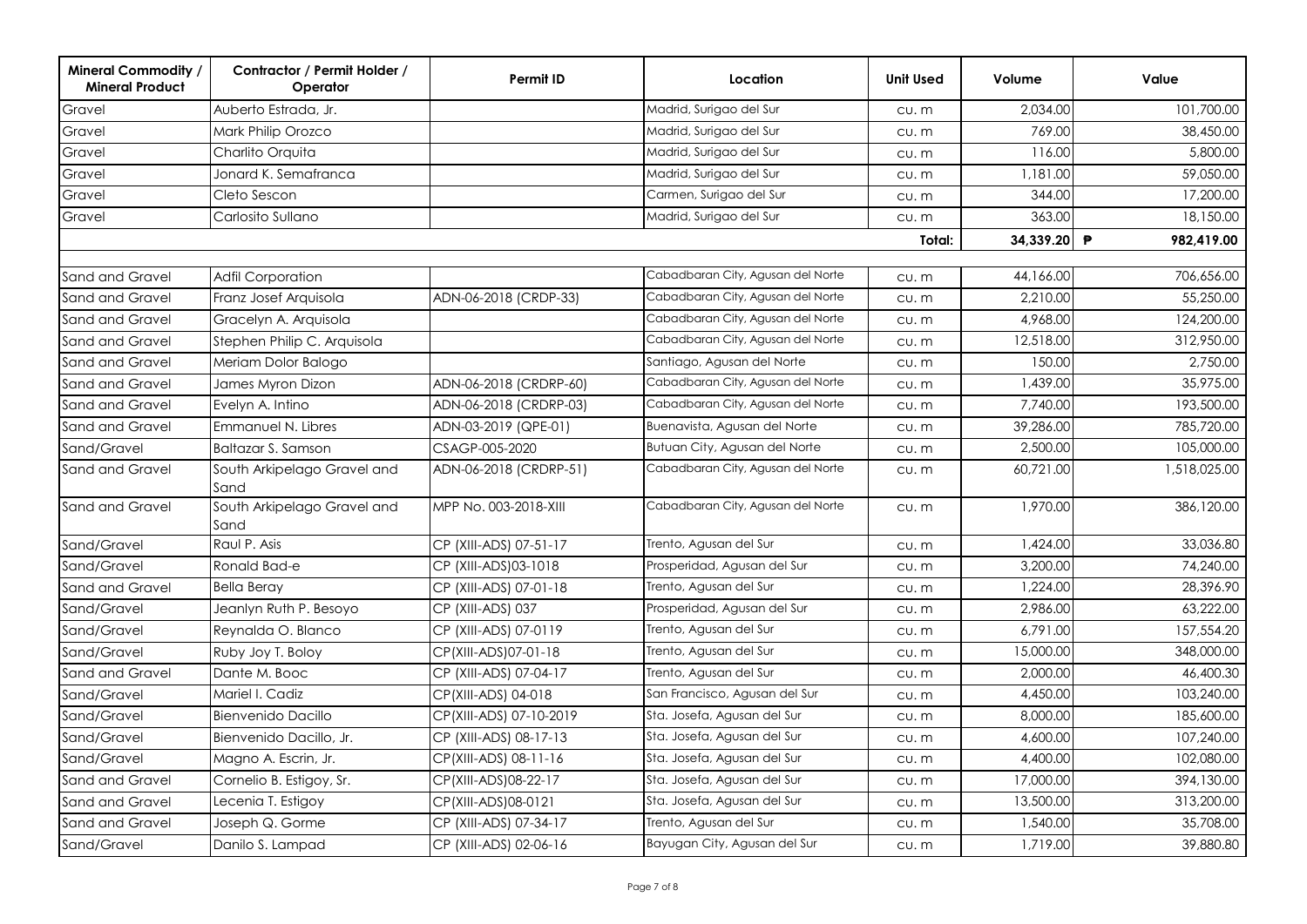| <b>Mineral Commodity /</b><br><b>Mineral Product</b> | Contractor / Permit Holder /<br>Operator | Permit ID               | Location                                                               | <b>Unit Used</b> | Volume               | Value                   |
|------------------------------------------------------|------------------------------------------|-------------------------|------------------------------------------------------------------------|------------------|----------------------|-------------------------|
| Gravel                                               | Auberto Estrada, Jr.                     |                         | Madrid, Surigao del Sur                                                | CU. m            | 2,034.00             | 101,700.00              |
| Gravel                                               | Mark Philip Orozco                       |                         | Madrid, Surigao del Sur                                                | CU. m            | 769.00               | 38,450.00               |
| Gravel                                               | Charlito Orquita                         |                         | Madrid, Surigao del Sur                                                | CU. m            | 116.00               | 5,800.00                |
| Gravel                                               | Jonard K. Semafranca                     |                         | Madrid, Surigao del Sur                                                | CU. m            | 1,181.00             | 59,050.00               |
| Gravel                                               | Cleto Sescon                             |                         | Carmen, Surigao del Sur                                                | CU. m            | 344.00               | 17,200.00               |
| Gravel                                               | Carlosito Sullano                        |                         | Madrid, Surigao del Sur                                                | CU. m            | 363.00               | 18,150.00               |
|                                                      |                                          |                         |                                                                        | Total:           | 34,339.20 ₱          | 982,419.00              |
|                                                      |                                          |                         | Cabadbaran City, Agusan del Norte                                      |                  | 44,166.00            |                         |
| Sand and Gravel                                      | Adfil Corporation                        |                         | Cabadbaran City, Agusan del Norte                                      | $CU.$ $m$        |                      | 706,656.00<br>55,250.00 |
| Sand and Gravel                                      | Franz Josef Arquisola                    | ADN-06-2018 (CRDP-33)   | Cabadbaran City, Agusan del Norte                                      | $CU.$ $m$        | 2,210.00<br>4,968.00 | 124,200.00              |
| Sand and Gravel                                      | Gracelyn A. Arquisola                    |                         | Cabadbaran City, Agusan del Norte                                      | $CU.$ $m$        |                      |                         |
| Sand and Gravel                                      | Stephen Philip C. Arquisola              |                         |                                                                        | $CU.$ $m$        | 12,518.00            | 312,950.00              |
| Sand and Gravel                                      | Meriam Dolor Balogo                      |                         | Santiago, Agusan del Norte                                             | CU. m            | 150.00               | 2,750.00                |
| Sand and Gravel                                      | James Myron Dizon                        | ADN-06-2018 (CRDRP-60)  | Cabadbaran City, Agusan del Norte<br>Cabadbaran City, Agusan del Norte | $CU.$ $m$        | 1,439.00             | 35,975.00               |
| Sand and Gravel                                      | Evelyn A. Intino                         | ADN-06-2018 (CRDRP-03)  |                                                                        | $CU.$ $m$        | 7,740.00             | 193,500.00              |
| Sand and Gravel                                      | Emmanuel N. Libres                       | ADN-03-2019 (QPE-01)    | Buenavista, Agusan del Norte                                           | $CU.$ $m$        | 39,286.00            | 785,720.00              |
| Sand/Gravel                                          | Baltazar S. Samson                       | CSAGP-005-2020          | Butuan City, Agusan del Norte                                          | $CU.$ $m$        | 2,500.00             | 105,000.00              |
| Sand and Gravel                                      | South Arkipelago Gravel and<br>Sand      | ADN-06-2018 (CRDRP-51)  | Cabadbaran City, Agusan del Norte                                      | $CU.$ $m$        | 60,721.00            | 1,518,025.00            |
| Sand and Gravel                                      | South Arkipelago Gravel and<br>Sand      | MPP No. 003-2018-XIII   | Cabadbaran City, Agusan del Norte                                      | CU. m            | 1,970.00             | 386,120.00              |
| Sand/Gravel                                          | Raul P. Asis                             | CP (XIII-ADS) 07-51-17  | Trento, Agusan del Sur                                                 | CU. m            | 1,424.00             | 33,036.80               |
| Sand/Gravel                                          | Ronald Bad-e                             | CP (XIII-ADS)03-1018    | Prosperidad, Agusan del Sur                                            | $CU.$ $m$        | 3,200.00             | 74,240.00               |
| Sand and Gravel                                      | <b>Bella Beray</b>                       | CP (XIII-ADS) 07-01-18  | Trento, Agusan del Sur                                                 | CU. m            | 1,224.00             | 28,396.90               |
| Sand/Gravel                                          | Jeanlyn Ruth P. Besoyo                   | CP (XIII-ADS) 037       | Prosperidad, Agusan del Sur                                            | CU. m            | 2,986.00             | 63,222.00               |
| Sand/Gravel                                          | Reynalda O. Blanco                       | CP (XIII-ADS) 07-0119   | Trento, Agusan del Sur                                                 | CU. m            | 6,791.00             | 157,554.20              |
| Sand/Gravel                                          | Ruby Joy T. Boloy                        | CP(XIII-ADS)07-01-18    | Trento, Agusan del Sur                                                 | CU. m            | 15,000.00            | 348,000.00              |
| Sand and Gravel                                      | Dante M. Booc                            | CP (XIII-ADS) 07-04-17  | Trento, Agusan del Sur                                                 | CU. m            | 2,000.00             | 46,400.30               |
| Sand/Gravel                                          | Mariel I. Cadiz                          | CP(XIII-ADS) 04-018     | San Francisco, Agusan del Sur                                          | cu.m             | 4,450.00             | 103,240.00              |
| Sand/Gravel                                          | Bienvenido Dacillo                       | CP(XIII-ADS) 07-10-2019 | Sta. Josefa, Agusan del Sur                                            | CU. m            | 8,000.00             | 185,600.00              |
| Sand/Gravel                                          | Bienvenido Dacillo, Jr.                  | CP (XIII-ADS) 08-17-13  | Sta. Josefa, Agusan del Sur                                            | CU. m            | 4,600.00             | 107,240.00              |
| Sand/Gravel                                          | Magno A. Escrin, Jr.                     | CP(XIII-ADS) 08-11-16   | Sta. Josefa, Agusan del Sur                                            | CU. m            | 4,400.00             | 102,080.00              |
| Sand and Gravel                                      | Cornelio B. Estigoy, Sr.                 | CP(XIII-ADS)08-22-17    | Sta. Josefa, Agusan del Sur                                            | CU. m            | 17,000.00            | 394,130.00              |
| Sand and Gravel                                      | Lecenia T. Estigoy                       | CP(XIII-ADS)08-0121     | Sta. Josefa, Agusan del Sur                                            | CU. m            | 13,500.00            | 313,200.00              |
| Sand and Gravel                                      | Joseph Q. Gorme                          | CP (XIII-ADS) 07-34-17  | Trento, Agusan del Sur                                                 | CU. m            | 1,540.00             | 35,708.00               |
| Sand/Gravel                                          | Danilo S. Lampad                         | CP (XIII-ADS) 02-06-16  | Bayugan City, Agusan del Sur                                           | CU. m            | 1,719.00             | 39,880.80               |